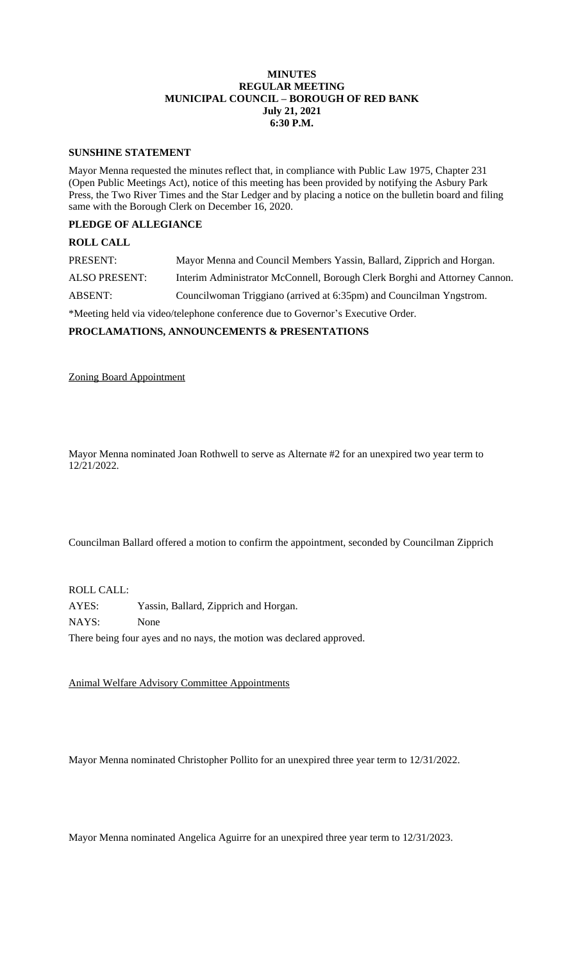### **MINUTES REGULAR MEETING MUNICIPAL COUNCIL – BOROUGH OF RED BANK July 21, 2021 6:30 P.M.**

#### **SUNSHINE STATEMENT**

Mayor Menna requested the minutes reflect that, in compliance with Public Law 1975, Chapter 231 (Open Public Meetings Act), notice of this meeting has been provided by notifying the Asbury Park Press, the Two River Times and the Star Ledger and by placing a notice on the bulletin board and filing same with the Borough Clerk on December 16, 2020.

# **PLEDGE OF ALLEGIANCE**

# **ROLL CALL**

| PRESENT:                                                                        | Mayor Menna and Council Members Yassin, Ballard, Zipprich and Horgan.      |
|---------------------------------------------------------------------------------|----------------------------------------------------------------------------|
| <b>ALSO PRESENT:</b>                                                            | Interim Administrator McConnell, Borough Clerk Borghi and Attorney Cannon. |
| ABSENT:                                                                         | Councilwoman Triggiano (arrived at 6:35pm) and Councilman Yngstrom.        |
| *Meeting held via video/telephone conference due to Governor's Executive Order. |                                                                            |

**PROCLAMATIONS, ANNOUNCEMENTS & PRESENTATIONS**

Zoning Board Appointment

Mayor Menna nominated Joan Rothwell to serve as Alternate #2 for an unexpired two year term to 12/21/2022.

Councilman Ballard offered a motion to confirm the appointment, seconded by Councilman Zipprich

ROLL CALL:

AYES: Yassin, Ballard, Zipprich and Horgan. NAYS: None There being four ayes and no nays, the motion was declared approved.

Animal Welfare Advisory Committee Appointments

Mayor Menna nominated Christopher Pollito for an unexpired three year term to 12/31/2022.

Mayor Menna nominated Angelica Aguirre for an unexpired three year term to 12/31/2023.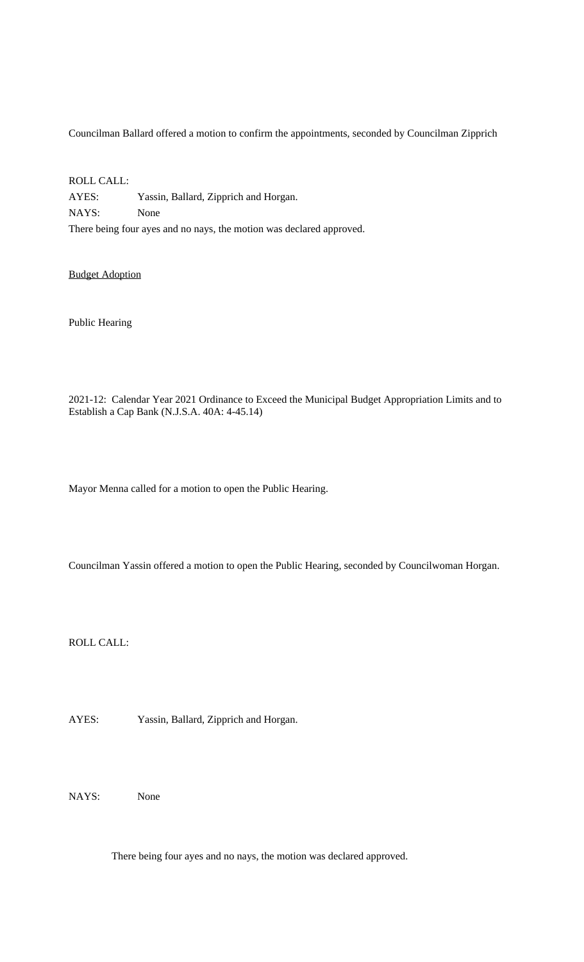Councilman Ballard offered a motion to confirm the appointments, seconded by Councilman Zipprich

ROLL CALL: AYES: Yassin, Ballard, Zipprich and Horgan. NAYS: None There being four ayes and no nays, the motion was declared approved.

Budget Adoption

Public Hearing

2021-12: Calendar Year 2021 Ordinance to Exceed the Municipal Budget Appropriation Limits and to Establish a Cap Bank (N.J.S.A. 40A: 4-45.14)

Mayor Menna called for a motion to open the Public Hearing.

Councilman Yassin offered a motion to open the Public Hearing, seconded by Councilwoman Horgan.

ROLL CALL:

AYES: Yassin, Ballard, Zipprich and Horgan.

NAYS: None

There being four ayes and no nays, the motion was declared approved.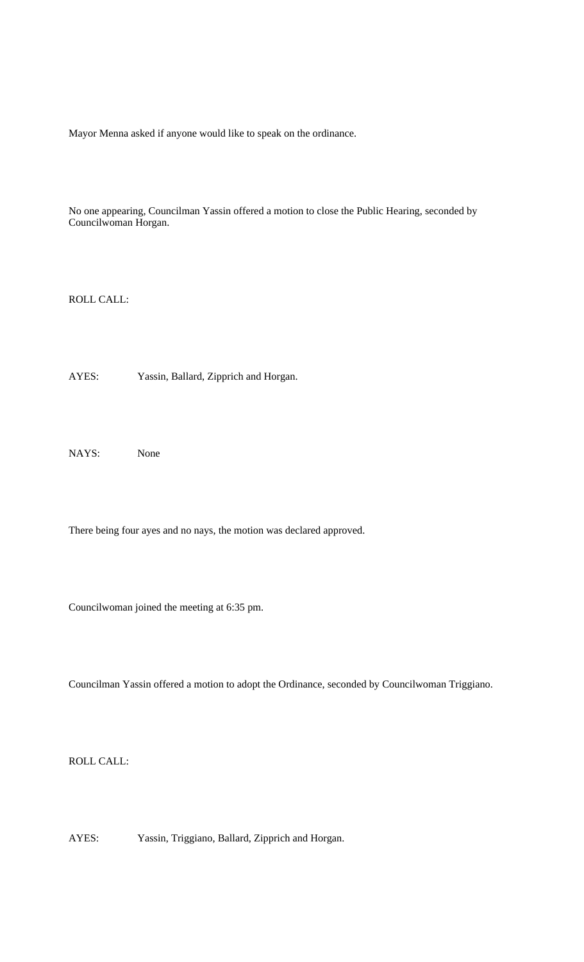Mayor Menna asked if anyone would like to speak on the ordinance.

No one appearing, Councilman Yassin offered a motion to close the Public Hearing, seconded by Councilwoman Horgan.

ROLL CALL:

AYES: Yassin, Ballard, Zipprich and Horgan.

NAYS: None

There being four ayes and no nays, the motion was declared approved.

Councilwoman joined the meeting at 6:35 pm.

Councilman Yassin offered a motion to adopt the Ordinance, seconded by Councilwoman Triggiano.

ROLL CALL:

AYES: Yassin, Triggiano, Ballard, Zipprich and Horgan.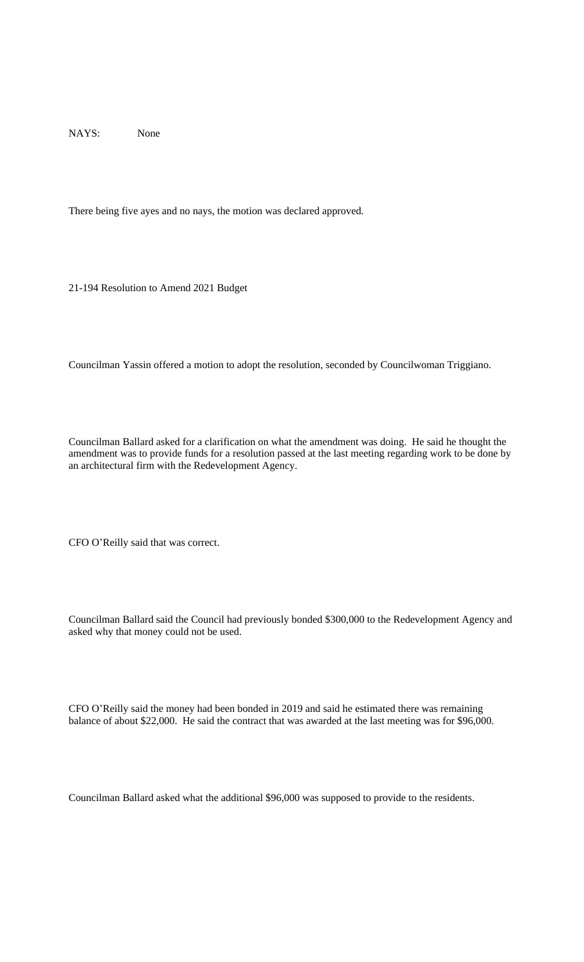NAYS: None

There being five ayes and no nays, the motion was declared approved.

21-194 Resolution to Amend 2021 Budget

Councilman Yassin offered a motion to adopt the resolution, seconded by Councilwoman Triggiano.

Councilman Ballard asked for a clarification on what the amendment was doing. He said he thought the amendment was to provide funds for a resolution passed at the last meeting regarding work to be done by an architectural firm with the Redevelopment Agency.

CFO O'Reilly said that was correct.

Councilman Ballard said the Council had previously bonded \$300,000 to the Redevelopment Agency and asked why that money could not be used.

CFO O'Reilly said the money had been bonded in 2019 and said he estimated there was remaining balance of about \$22,000. He said the contract that was awarded at the last meeting was for \$96,000.

Councilman Ballard asked what the additional \$96,000 was supposed to provide to the residents.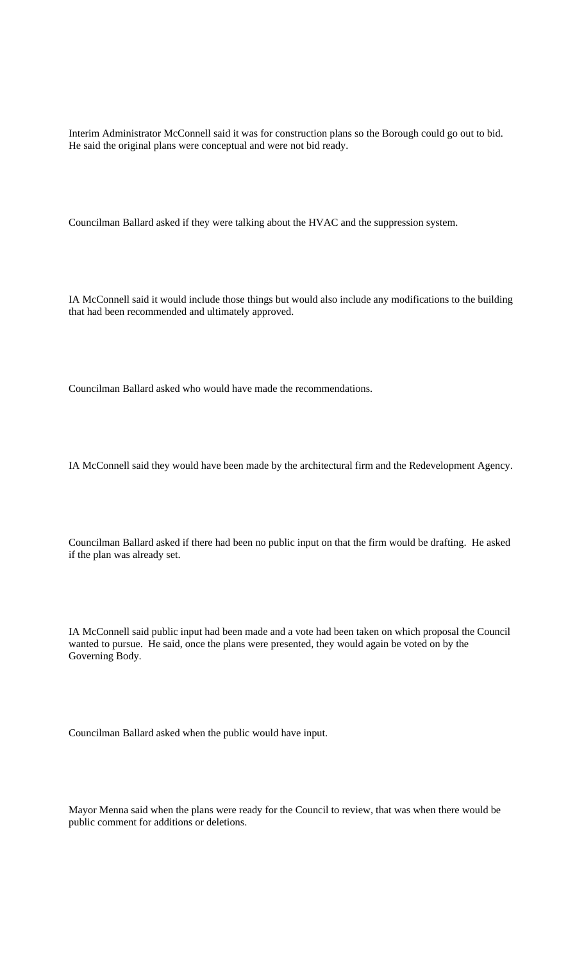Interim Administrator McConnell said it was for construction plans so the Borough could go out to bid. He said the original plans were conceptual and were not bid ready.

Councilman Ballard asked if they were talking about the HVAC and the suppression system.

IA McConnell said it would include those things but would also include any modifications to the building that had been recommended and ultimately approved.

Councilman Ballard asked who would have made the recommendations.

IA McConnell said they would have been made by the architectural firm and the Redevelopment Agency.

Councilman Ballard asked if there had been no public input on that the firm would be drafting. He asked if the plan was already set.

IA McConnell said public input had been made and a vote had been taken on which proposal the Council wanted to pursue. He said, once the plans were presented, they would again be voted on by the Governing Body.

Councilman Ballard asked when the public would have input.

Mayor Menna said when the plans were ready for the Council to review, that was when there would be public comment for additions or deletions.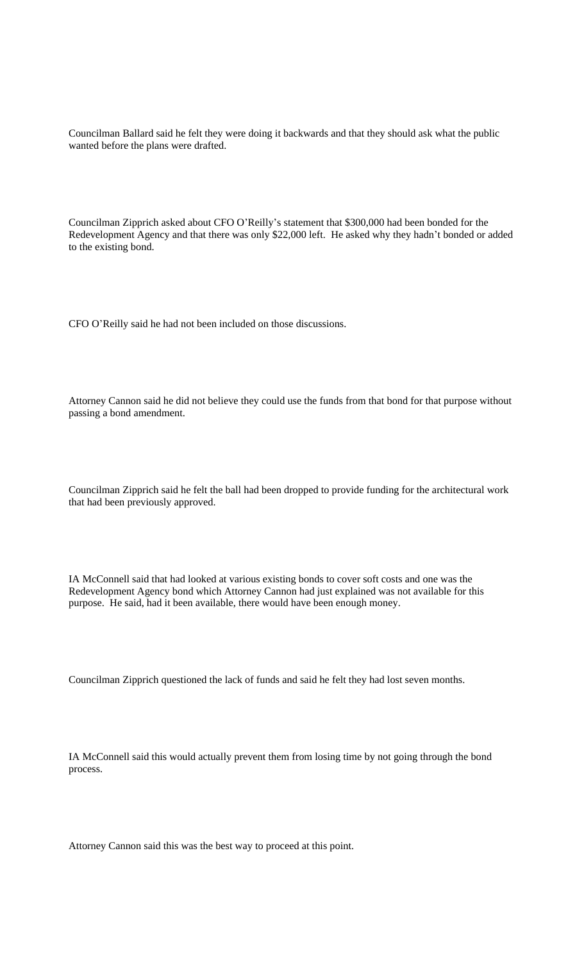Councilman Ballard said he felt they were doing it backwards and that they should ask what the public wanted before the plans were drafted.

Councilman Zipprich asked about CFO O'Reilly's statement that \$300,000 had been bonded for the Redevelopment Agency and that there was only \$22,000 left. He asked why they hadn't bonded or added to the existing bond.

CFO O'Reilly said he had not been included on those discussions.

Attorney Cannon said he did not believe they could use the funds from that bond for that purpose without passing a bond amendment.

Councilman Zipprich said he felt the ball had been dropped to provide funding for the architectural work that had been previously approved.

IA McConnell said that had looked at various existing bonds to cover soft costs and one was the Redevelopment Agency bond which Attorney Cannon had just explained was not available for this purpose. He said, had it been available, there would have been enough money.

Councilman Zipprich questioned the lack of funds and said he felt they had lost seven months.

IA McConnell said this would actually prevent them from losing time by not going through the bond process.

Attorney Cannon said this was the best way to proceed at this point.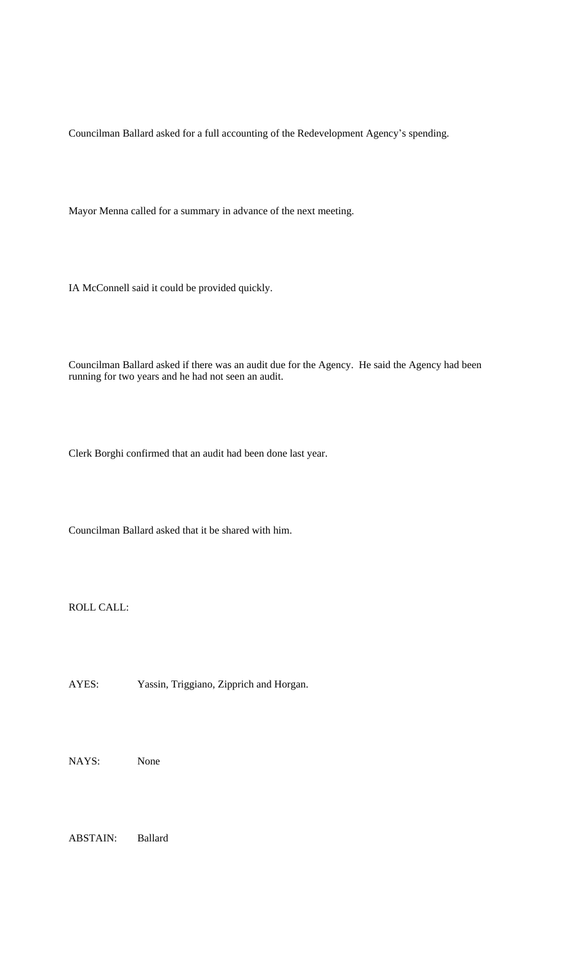Councilman Ballard asked for a full accounting of the Redevelopment Agency's spending.

Mayor Menna called for a summary in advance of the next meeting.

IA McConnell said it could be provided quickly.

Councilman Ballard asked if there was an audit due for the Agency. He said the Agency had been running for two years and he had not seen an audit.

Clerk Borghi confirmed that an audit had been done last year.

Councilman Ballard asked that it be shared with him.

ROLL CALL:

AYES: Yassin, Triggiano, Zipprich and Horgan.

NAYS: None

ABSTAIN: Ballard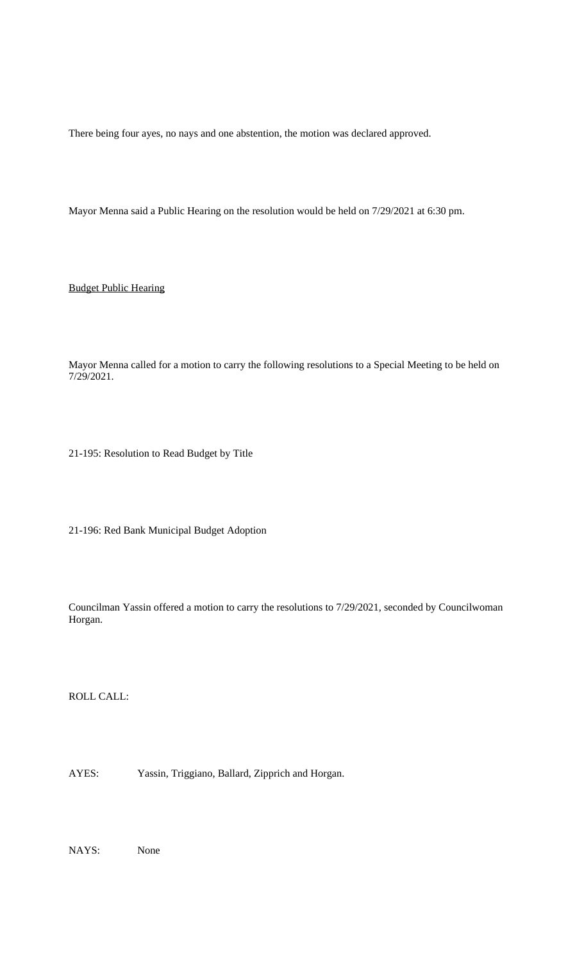There being four ayes, no nays and one abstention, the motion was declared approved.

Mayor Menna said a Public Hearing on the resolution would be held on 7/29/2021 at 6:30 pm.

Budget Public Hearing

Mayor Menna called for a motion to carry the following resolutions to a Special Meeting to be held on 7/29/2021.

21-195: Resolution to Read Budget by Title

21-196: Red Bank Municipal Budget Adoption

Councilman Yassin offered a motion to carry the resolutions to 7/29/2021, seconded by Councilwoman Horgan.

ROLL CALL:

AYES: Yassin, Triggiano, Ballard, Zipprich and Horgan.

NAYS: None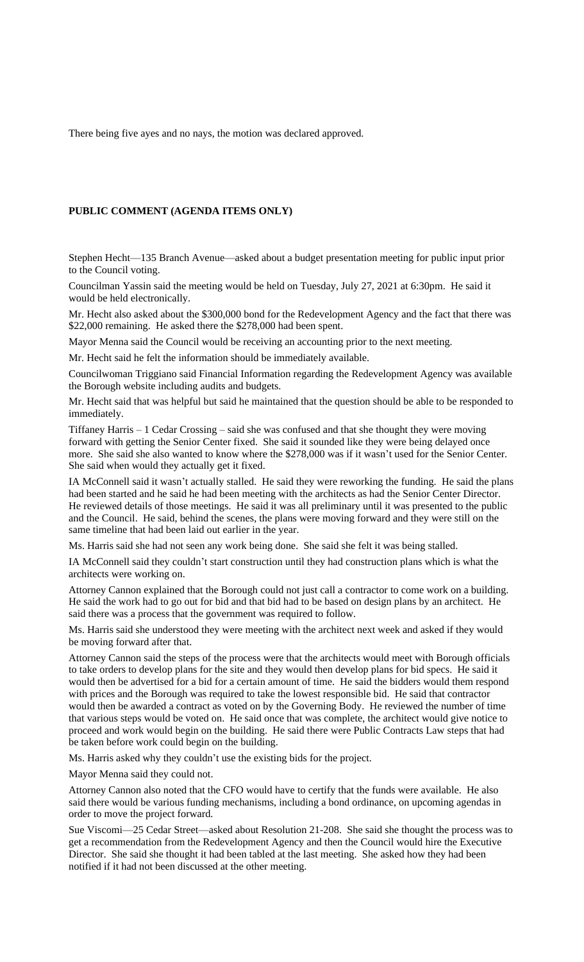There being five ayes and no nays, the motion was declared approved.

#### **PUBLIC COMMENT (AGENDA ITEMS ONLY)**

Stephen Hecht—135 Branch Avenue—asked about a budget presentation meeting for public input prior to the Council voting.

Councilman Yassin said the meeting would be held on Tuesday, July 27, 2021 at 6:30pm. He said it would be held electronically.

Mr. Hecht also asked about the \$300,000 bond for the Redevelopment Agency and the fact that there was \$22,000 remaining. He asked there the \$278,000 had been spent.

Mayor Menna said the Council would be receiving an accounting prior to the next meeting.

Mr. Hecht said he felt the information should be immediately available.

Councilwoman Triggiano said Financial Information regarding the Redevelopment Agency was available the Borough website including audits and budgets.

Mr. Hecht said that was helpful but said he maintained that the question should be able to be responded to immediately.

Tiffaney Harris – 1 Cedar Crossing – said she was confused and that she thought they were moving forward with getting the Senior Center fixed. She said it sounded like they were being delayed once more. She said she also wanted to know where the \$278,000 was if it wasn't used for the Senior Center. She said when would they actually get it fixed.

IA McConnell said it wasn't actually stalled. He said they were reworking the funding. He said the plans had been started and he said he had been meeting with the architects as had the Senior Center Director. He reviewed details of those meetings. He said it was all preliminary until it was presented to the public and the Council. He said, behind the scenes, the plans were moving forward and they were still on the same timeline that had been laid out earlier in the year.

Ms. Harris said she had not seen any work being done. She said she felt it was being stalled.

IA McConnell said they couldn't start construction until they had construction plans which is what the architects were working on.

Attorney Cannon explained that the Borough could not just call a contractor to come work on a building. He said the work had to go out for bid and that bid had to be based on design plans by an architect. He said there was a process that the government was required to follow.

Ms. Harris said she understood they were meeting with the architect next week and asked if they would be moving forward after that.

Attorney Cannon said the steps of the process were that the architects would meet with Borough officials to take orders to develop plans for the site and they would then develop plans for bid specs. He said it would then be advertised for a bid for a certain amount of time. He said the bidders would them respond with prices and the Borough was required to take the lowest responsible bid. He said that contractor would then be awarded a contract as voted on by the Governing Body. He reviewed the number of time that various steps would be voted on. He said once that was complete, the architect would give notice to proceed and work would begin on the building. He said there were Public Contracts Law steps that had be taken before work could begin on the building.

Ms. Harris asked why they couldn't use the existing bids for the project.

Mayor Menna said they could not.

Attorney Cannon also noted that the CFO would have to certify that the funds were available. He also said there would be various funding mechanisms, including a bond ordinance, on upcoming agendas in order to move the project forward.

Sue Viscomi—25 Cedar Street—asked about Resolution 21-208. She said she thought the process was to get a recommendation from the Redevelopment Agency and then the Council would hire the Executive Director. She said she thought it had been tabled at the last meeting. She asked how they had been notified if it had not been discussed at the other meeting.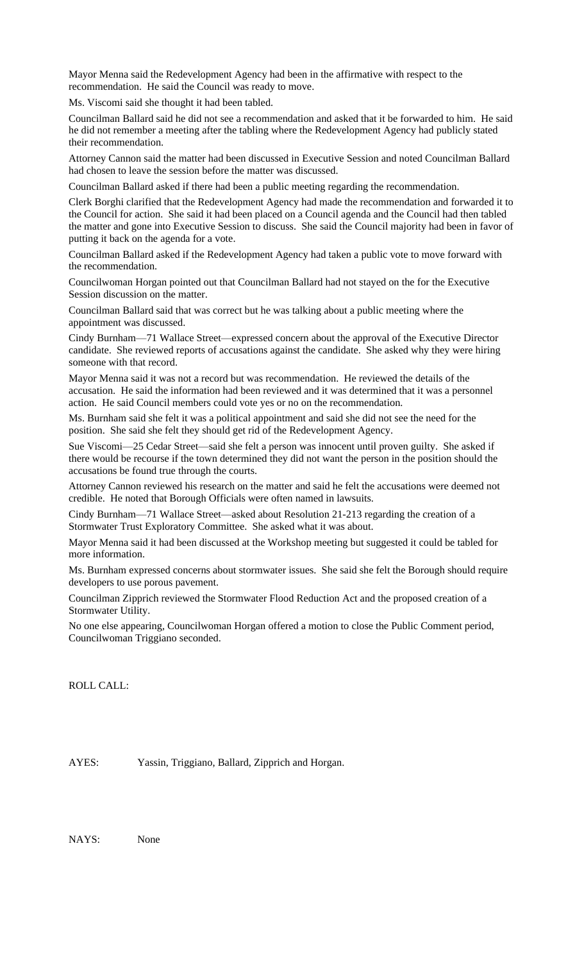Mayor Menna said the Redevelopment Agency had been in the affirmative with respect to the recommendation. He said the Council was ready to move.

Ms. Viscomi said she thought it had been tabled.

Councilman Ballard said he did not see a recommendation and asked that it be forwarded to him. He said he did not remember a meeting after the tabling where the Redevelopment Agency had publicly stated their recommendation.

Attorney Cannon said the matter had been discussed in Executive Session and noted Councilman Ballard had chosen to leave the session before the matter was discussed.

Councilman Ballard asked if there had been a public meeting regarding the recommendation.

Clerk Borghi clarified that the Redevelopment Agency had made the recommendation and forwarded it to the Council for action. She said it had been placed on a Council agenda and the Council had then tabled the matter and gone into Executive Session to discuss. She said the Council majority had been in favor of putting it back on the agenda for a vote.

Councilman Ballard asked if the Redevelopment Agency had taken a public vote to move forward with the recommendation.

Councilwoman Horgan pointed out that Councilman Ballard had not stayed on the for the Executive Session discussion on the matter.

Councilman Ballard said that was correct but he was talking about a public meeting where the appointment was discussed.

Cindy Burnham—71 Wallace Street—expressed concern about the approval of the Executive Director candidate. She reviewed reports of accusations against the candidate. She asked why they were hiring someone with that record.

Mayor Menna said it was not a record but was recommendation. He reviewed the details of the accusation. He said the information had been reviewed and it was determined that it was a personnel action. He said Council members could vote yes or no on the recommendation.

Ms. Burnham said she felt it was a political appointment and said she did not see the need for the position. She said she felt they should get rid of the Redevelopment Agency.

Sue Viscomi—25 Cedar Street—said she felt a person was innocent until proven guilty. She asked if there would be recourse if the town determined they did not want the person in the position should the accusations be found true through the courts.

Attorney Cannon reviewed his research on the matter and said he felt the accusations were deemed not credible. He noted that Borough Officials were often named in lawsuits.

Cindy Burnham—71 Wallace Street—asked about Resolution 21-213 regarding the creation of a Stormwater Trust Exploratory Committee. She asked what it was about.

Mayor Menna said it had been discussed at the Workshop meeting but suggested it could be tabled for more information.

Ms. Burnham expressed concerns about stormwater issues. She said she felt the Borough should require developers to use porous pavement.

Councilman Zipprich reviewed the Stormwater Flood Reduction Act and the proposed creation of a Stormwater Utility.

No one else appearing, Councilwoman Horgan offered a motion to close the Public Comment period, Councilwoman Triggiano seconded.

ROLL CALL:

AYES: Yassin, Triggiano, Ballard, Zipprich and Horgan.

NAYS: None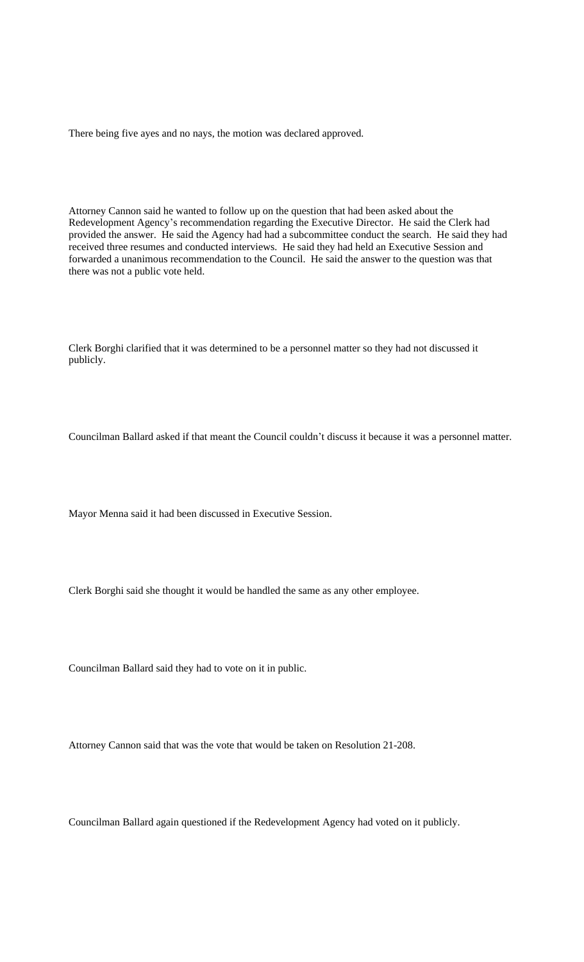There being five ayes and no nays, the motion was declared approved.

Attorney Cannon said he wanted to follow up on the question that had been asked about the Redevelopment Agency's recommendation regarding the Executive Director. He said the Clerk had provided the answer. He said the Agency had had a subcommittee conduct the search. He said they had received three resumes and conducted interviews. He said they had held an Executive Session and forwarded a unanimous recommendation to the Council. He said the answer to the question was that there was not a public vote held.

Clerk Borghi clarified that it was determined to be a personnel matter so they had not discussed it publicly.

Councilman Ballard asked if that meant the Council couldn't discuss it because it was a personnel matter.

Mayor Menna said it had been discussed in Executive Session.

Clerk Borghi said she thought it would be handled the same as any other employee.

Councilman Ballard said they had to vote on it in public.

Attorney Cannon said that was the vote that would be taken on Resolution 21-208.

Councilman Ballard again questioned if the Redevelopment Agency had voted on it publicly.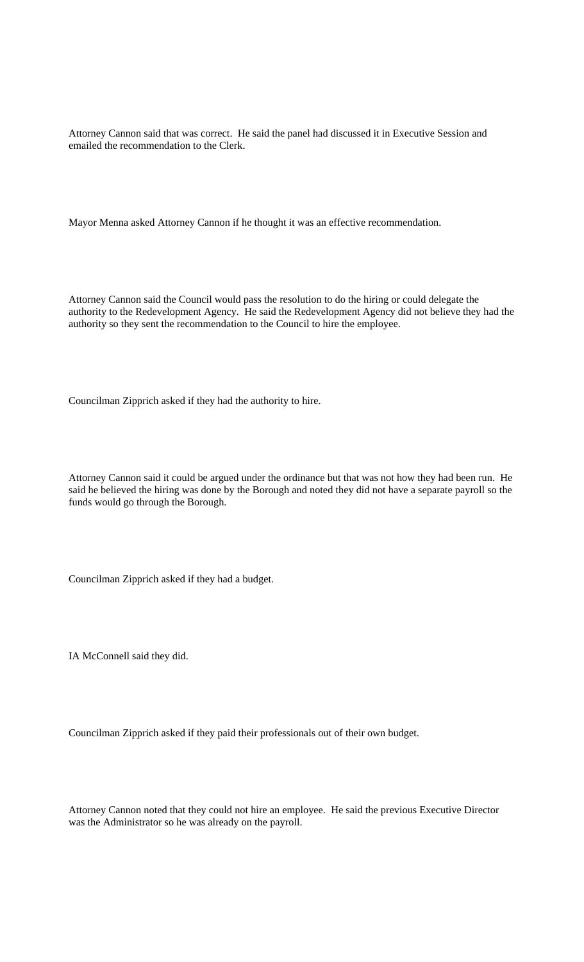Attorney Cannon said that was correct. He said the panel had discussed it in Executive Session and emailed the recommendation to the Clerk.

Mayor Menna asked Attorney Cannon if he thought it was an effective recommendation.

Attorney Cannon said the Council would pass the resolution to do the hiring or could delegate the authority to the Redevelopment Agency. He said the Redevelopment Agency did not believe they had the authority so they sent the recommendation to the Council to hire the employee.

Councilman Zipprich asked if they had the authority to hire.

Attorney Cannon said it could be argued under the ordinance but that was not how they had been run. He said he believed the hiring was done by the Borough and noted they did not have a separate payroll so the funds would go through the Borough.

Councilman Zipprich asked if they had a budget.

IA McConnell said they did.

Councilman Zipprich asked if they paid their professionals out of their own budget.

Attorney Cannon noted that they could not hire an employee. He said the previous Executive Director was the Administrator so he was already on the payroll.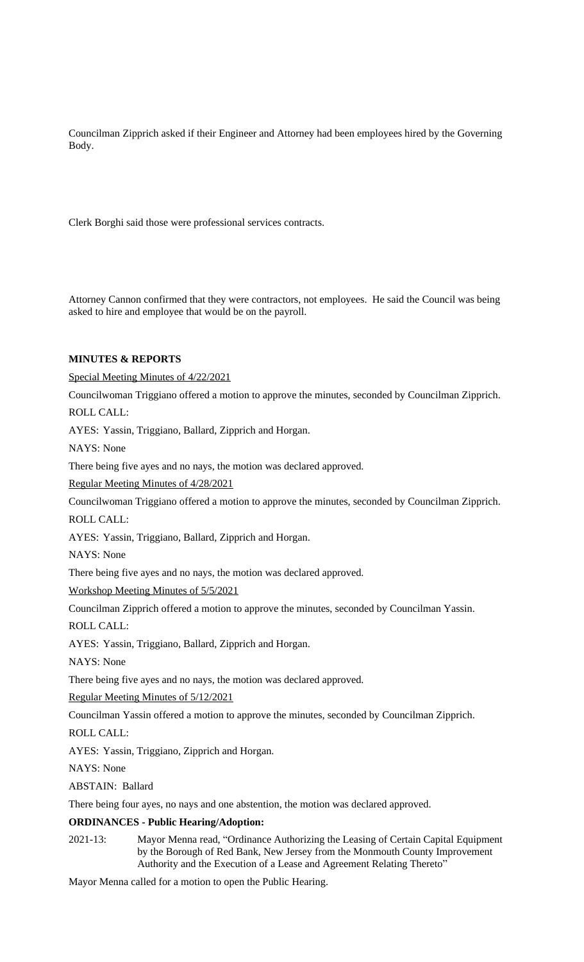Councilman Zipprich asked if their Engineer and Attorney had been employees hired by the Governing Body.

Clerk Borghi said those were professional services contracts.

Attorney Cannon confirmed that they were contractors, not employees. He said the Council was being asked to hire and employee that would be on the payroll.

## **MINUTES & REPORTS**

Special Meeting Minutes of 4/22/2021

Councilwoman Triggiano offered a motion to approve the minutes, seconded by Councilman Zipprich. ROLL CALL:

AYES: Yassin, Triggiano, Ballard, Zipprich and Horgan.

NAYS: None

There being five ayes and no nays, the motion was declared approved.

Regular Meeting Minutes of 4/28/2021

Councilwoman Triggiano offered a motion to approve the minutes, seconded by Councilman Zipprich.

ROLL CALL:

AYES: Yassin, Triggiano, Ballard, Zipprich and Horgan.

NAYS: None

There being five ayes and no nays, the motion was declared approved.

Workshop Meeting Minutes of 5/5/2021

Councilman Zipprich offered a motion to approve the minutes, seconded by Councilman Yassin.

ROLL CALL:

AYES: Yassin, Triggiano, Ballard, Zipprich and Horgan.

NAYS: None

There being five ayes and no nays, the motion was declared approved.

Regular Meeting Minutes of 5/12/2021

Councilman Yassin offered a motion to approve the minutes, seconded by Councilman Zipprich.

ROLL CALL:

AYES: Yassin, Triggiano, Zipprich and Horgan.

NAYS: None

ABSTAIN: Ballard

There being four ayes, no nays and one abstention, the motion was declared approved.

# **ORDINANCES - Public Hearing/Adoption:**

2021-13: Mayor Menna read, "Ordinance Authorizing the Leasing of Certain Capital Equipment by the Borough of Red Bank, New Jersey from the Monmouth County Improvement Authority and the Execution of a Lease and Agreement Relating Thereto"

Mayor Menna called for a motion to open the Public Hearing.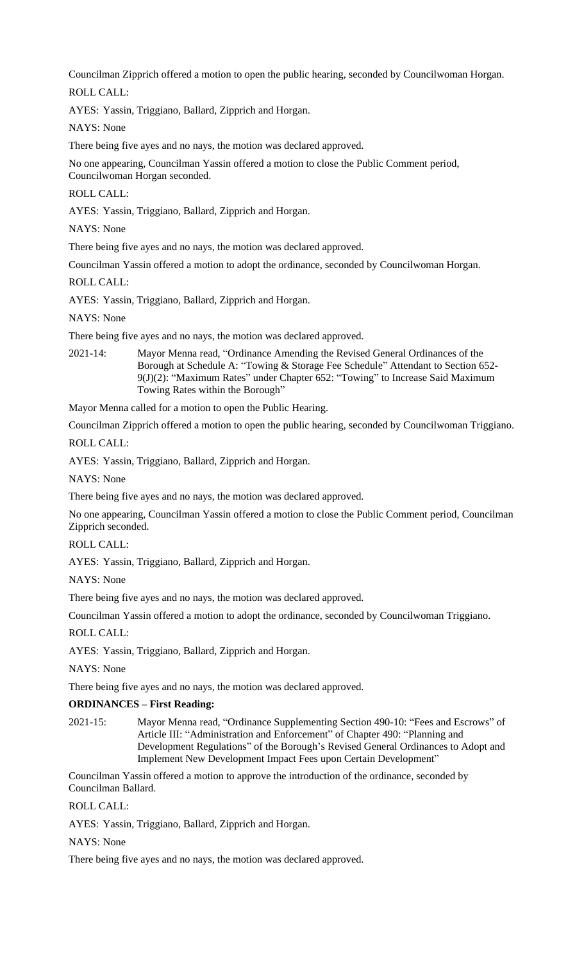Councilman Zipprich offered a motion to open the public hearing, seconded by Councilwoman Horgan.

ROLL CALL:

AYES: Yassin, Triggiano, Ballard, Zipprich and Horgan.

NAYS: None

There being five ayes and no nays, the motion was declared approved.

No one appearing, Councilman Yassin offered a motion to close the Public Comment period, Councilwoman Horgan seconded.

ROLL CALL:

AYES: Yassin, Triggiano, Ballard, Zipprich and Horgan.

NAYS: None

There being five ayes and no nays, the motion was declared approved.

Councilman Yassin offered a motion to adopt the ordinance, seconded by Councilwoman Horgan.

ROLL CALL:

AYES: Yassin, Triggiano, Ballard, Zipprich and Horgan.

NAYS: None

There being five ayes and no nays, the motion was declared approved.

2021-14: Mayor Menna read, "Ordinance Amending the Revised General Ordinances of the Borough at Schedule A: "Towing & Storage Fee Schedule" Attendant to Section 652- 9(J)(2): "Maximum Rates" under Chapter 652: "Towing" to Increase Said Maximum Towing Rates within the Borough"

Mayor Menna called for a motion to open the Public Hearing.

Councilman Zipprich offered a motion to open the public hearing, seconded by Councilwoman Triggiano.

ROLL CALL:

AYES: Yassin, Triggiano, Ballard, Zipprich and Horgan.

NAYS: None

There being five ayes and no nays, the motion was declared approved.

No one appearing, Councilman Yassin offered a motion to close the Public Comment period, Councilman Zipprich seconded.

ROLL CALL:

AYES: Yassin, Triggiano, Ballard, Zipprich and Horgan.

NAYS: None

There being five ayes and no nays, the motion was declared approved.

Councilman Yassin offered a motion to adopt the ordinance, seconded by Councilwoman Triggiano.

ROLL CALL:

AYES: Yassin, Triggiano, Ballard, Zipprich and Horgan.

NAYS: None

There being five ayes and no nays, the motion was declared approved.

# **ORDINANCES – First Reading:**

2021-15: Mayor Menna read, "Ordinance Supplementing Section 490-10: "Fees and Escrows" of Article III: "Administration and Enforcement" of Chapter 490: "Planning and Development Regulations" of the Borough's Revised General Ordinances to Adopt and Implement New Development Impact Fees upon Certain Development"

Councilman Yassin offered a motion to approve the introduction of the ordinance, seconded by Councilman Ballard.

ROLL CALL:

AYES: Yassin, Triggiano, Ballard, Zipprich and Horgan.

NAYS: None

There being five ayes and no nays, the motion was declared approved.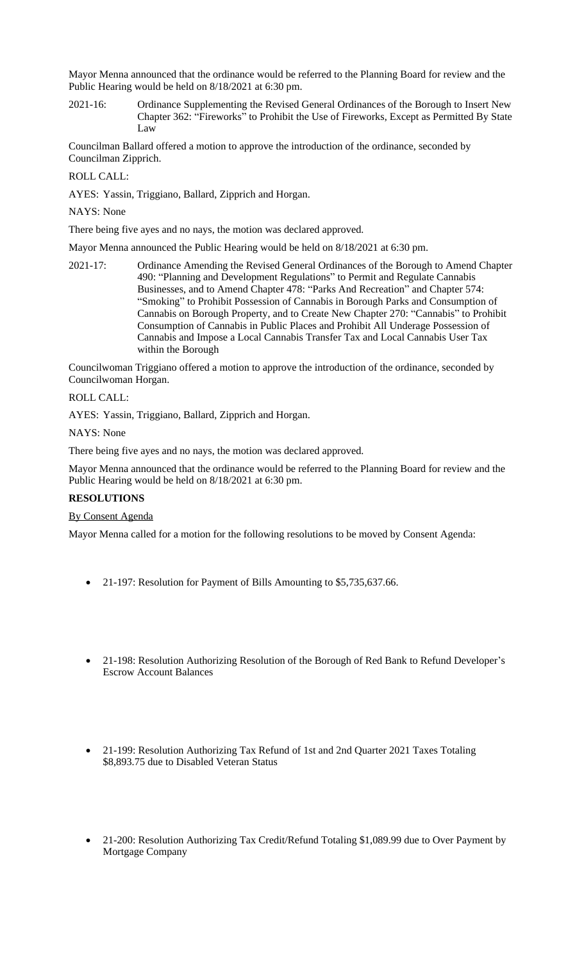Mayor Menna announced that the ordinance would be referred to the Planning Board for review and the Public Hearing would be held on 8/18/2021 at 6:30 pm.

2021-16: Ordinance Supplementing the Revised General Ordinances of the Borough to Insert New Chapter 362: "Fireworks" to Prohibit the Use of Fireworks, Except as Permitted By State Law

Councilman Ballard offered a motion to approve the introduction of the ordinance, seconded by Councilman Zipprich.

ROLL CALL:

AYES: Yassin, Triggiano, Ballard, Zipprich and Horgan.

NAYS: None

There being five ayes and no nays, the motion was declared approved.

Mayor Menna announced the Public Hearing would be held on 8/18/2021 at 6:30 pm.

2021-17: Ordinance Amending the Revised General Ordinances of the Borough to Amend Chapter 490: "Planning and Development Regulations" to Permit and Regulate Cannabis Businesses, and to Amend Chapter 478: "Parks And Recreation" and Chapter 574: "Smoking" to Prohibit Possession of Cannabis in Borough Parks and Consumption of Cannabis on Borough Property, and to Create New Chapter 270: "Cannabis" to Prohibit Consumption of Cannabis in Public Places and Prohibit All Underage Possession of Cannabis and Impose a Local Cannabis Transfer Tax and Local Cannabis User Tax within the Borough

Councilwoman Triggiano offered a motion to approve the introduction of the ordinance, seconded by Councilwoman Horgan.

## ROLL CALL:

AYES: Yassin, Triggiano, Ballard, Zipprich and Horgan.

NAYS: None

There being five ayes and no nays, the motion was declared approved.

Mayor Menna announced that the ordinance would be referred to the Planning Board for review and the Public Hearing would be held on 8/18/2021 at 6:30 pm.

# **RESOLUTIONS**

# By Consent Agenda

Mayor Menna called for a motion for the following resolutions to be moved by Consent Agenda:

- 21-197: Resolution for Payment of Bills Amounting to \$5,735,637.66.
- 21-198: Resolution Authorizing Resolution of the Borough of Red Bank to Refund Developer's Escrow Account Balances
- 21-199: Resolution Authorizing Tax Refund of 1st and 2nd Quarter 2021 Taxes Totaling \$8,893.75 due to Disabled Veteran Status
- 21-200: Resolution Authorizing Tax Credit/Refund Totaling \$1,089.99 due to Over Payment by Mortgage Company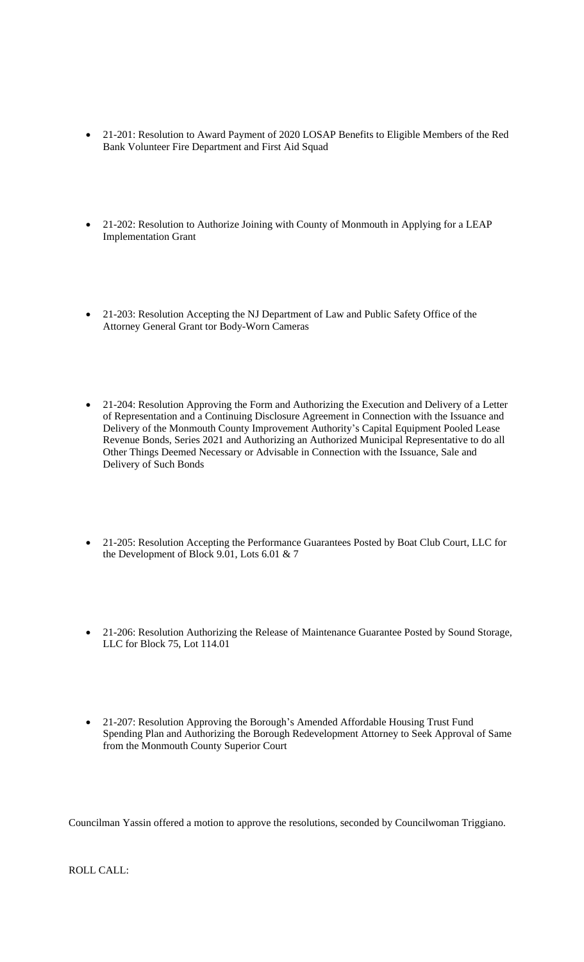- 21-201: Resolution to Award Payment of 2020 LOSAP Benefits to Eligible Members of the Red Bank Volunteer Fire Department and First Aid Squad
- 21-202: Resolution to Authorize Joining with County of Monmouth in Applying for a LEAP Implementation Grant
- 21-203: Resolution Accepting the NJ Department of Law and Public Safety Office of the Attorney General Grant tor Body-Worn Cameras
- 21-204: Resolution Approving the Form and Authorizing the Execution and Delivery of a Letter of Representation and a Continuing Disclosure Agreement in Connection with the Issuance and Delivery of the Monmouth County Improvement Authority's Capital Equipment Pooled Lease Revenue Bonds, Series 2021 and Authorizing an Authorized Municipal Representative to do all Other Things Deemed Necessary or Advisable in Connection with the Issuance, Sale and Delivery of Such Bonds
- 21-205: Resolution Accepting the Performance Guarantees Posted by Boat Club Court, LLC for the Development of Block 9.01, Lots 6.01 & 7
- 21-206: Resolution Authorizing the Release of Maintenance Guarantee Posted by Sound Storage, LLC for Block 75, Lot 114.01
- 21-207: Resolution Approving the Borough's Amended Affordable Housing Trust Fund Spending Plan and Authorizing the Borough Redevelopment Attorney to Seek Approval of Same from the Monmouth County Superior Court

Councilman Yassin offered a motion to approve the resolutions, seconded by Councilwoman Triggiano.

ROLL CALL: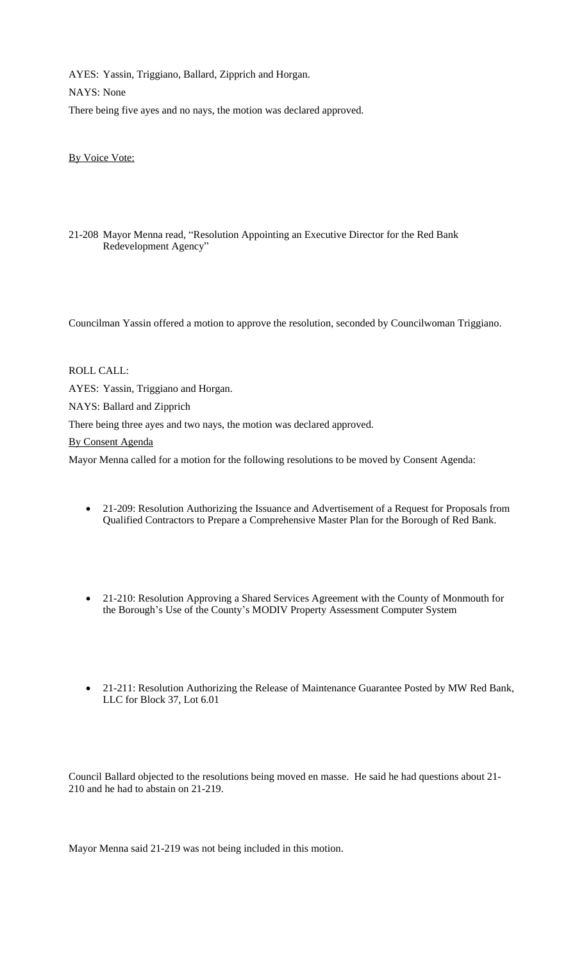AYES: Yassin, Triggiano, Ballard, Zipprich and Horgan. NAYS: None There being five ayes and no nays, the motion was declared approved.

By Voice Vote:

21-208 Mayor Menna read, "Resolution Appointing an Executive Director for the Red Bank Redevelopment Agency"

Councilman Yassin offered a motion to approve the resolution, seconded by Councilwoman Triggiano.

## ROLL CALL:

AYES: Yassin, Triggiano and Horgan.

NAYS: Ballard and Zipprich

There being three ayes and two nays, the motion was declared approved.

By Consent Agenda

Mayor Menna called for a motion for the following resolutions to be moved by Consent Agenda:

- 21-209: Resolution Authorizing the Issuance and Advertisement of a Request for Proposals from Qualified Contractors to Prepare a Comprehensive Master Plan for the Borough of Red Bank.
- 21-210: Resolution Approving a Shared Services Agreement with the County of Monmouth for the Borough's Use of the County's MODIV Property Assessment Computer System
- 21-211: Resolution Authorizing the Release of Maintenance Guarantee Posted by MW Red Bank, LLC for Block 37, Lot 6.01

Council Ballard objected to the resolutions being moved en masse. He said he had questions about 21- 210 and he had to abstain on 21-219.

Mayor Menna said 21-219 was not being included in this motion.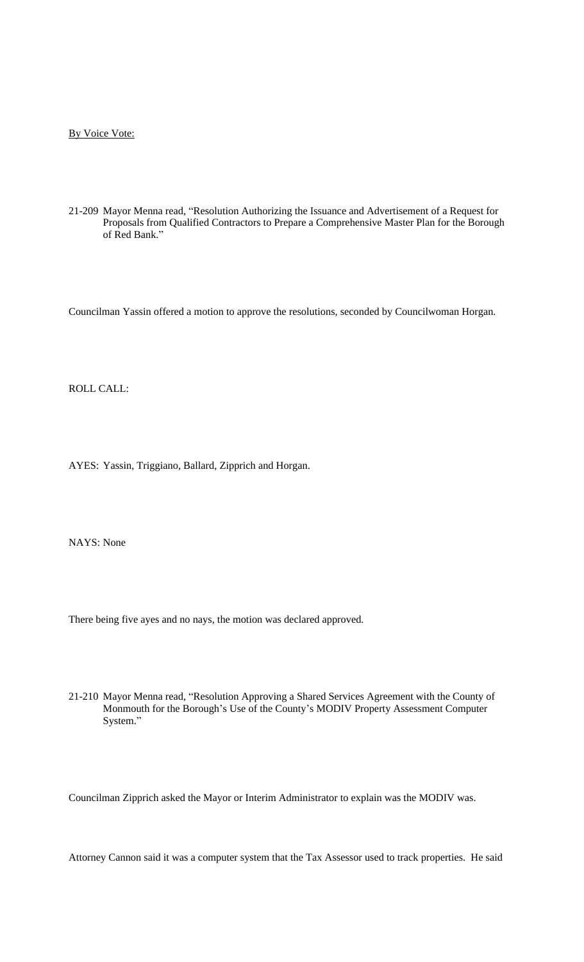By Voice Vote:

21-209 Mayor Menna read, "Resolution Authorizing the Issuance and Advertisement of a Request for Proposals from Qualified Contractors to Prepare a Comprehensive Master Plan for the Borough of Red Bank."

Councilman Yassin offered a motion to approve the resolutions, seconded by Councilwoman Horgan.

ROLL CALL:

AYES: Yassin, Triggiano, Ballard, Zipprich and Horgan.

NAYS: None

There being five ayes and no nays, the motion was declared approved.

21-210 Mayor Menna read, "Resolution Approving a Shared Services Agreement with the County of Monmouth for the Borough's Use of the County's MODIV Property Assessment Computer System."

Councilman Zipprich asked the Mayor or Interim Administrator to explain was the MODIV was.

Attorney Cannon said it was a computer system that the Tax Assessor used to track properties. He said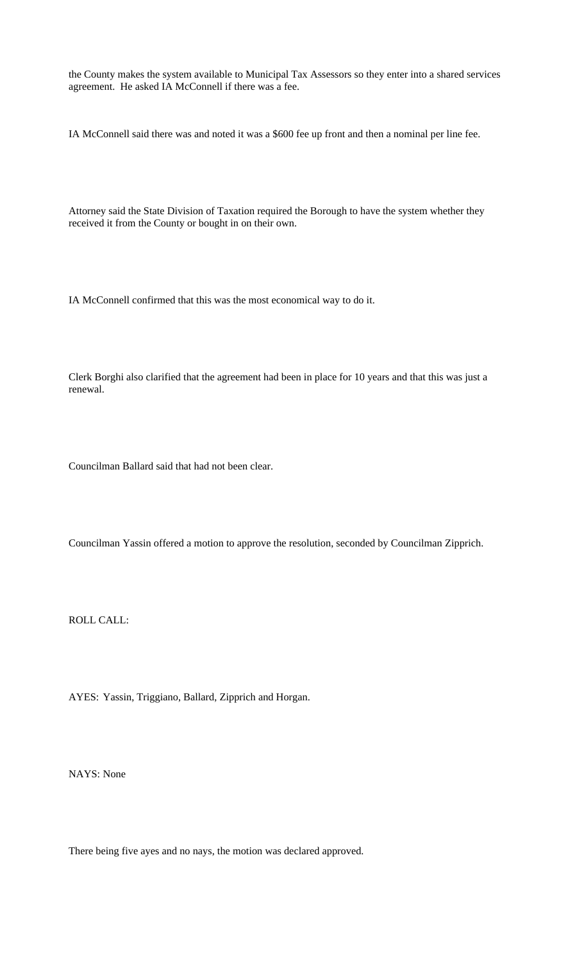the County makes the system available to Municipal Tax Assessors so they enter into a shared services agreement. He asked IA McConnell if there was a fee.

IA McConnell said there was and noted it was a \$600 fee up front and then a nominal per line fee.

Attorney said the State Division of Taxation required the Borough to have the system whether they received it from the County or bought in on their own.

IA McConnell confirmed that this was the most economical way to do it.

Clerk Borghi also clarified that the agreement had been in place for 10 years and that this was just a renewal.

Councilman Ballard said that had not been clear.

Councilman Yassin offered a motion to approve the resolution, seconded by Councilman Zipprich.

ROLL CALL:

AYES: Yassin, Triggiano, Ballard, Zipprich and Horgan.

NAYS: None

There being five ayes and no nays, the motion was declared approved.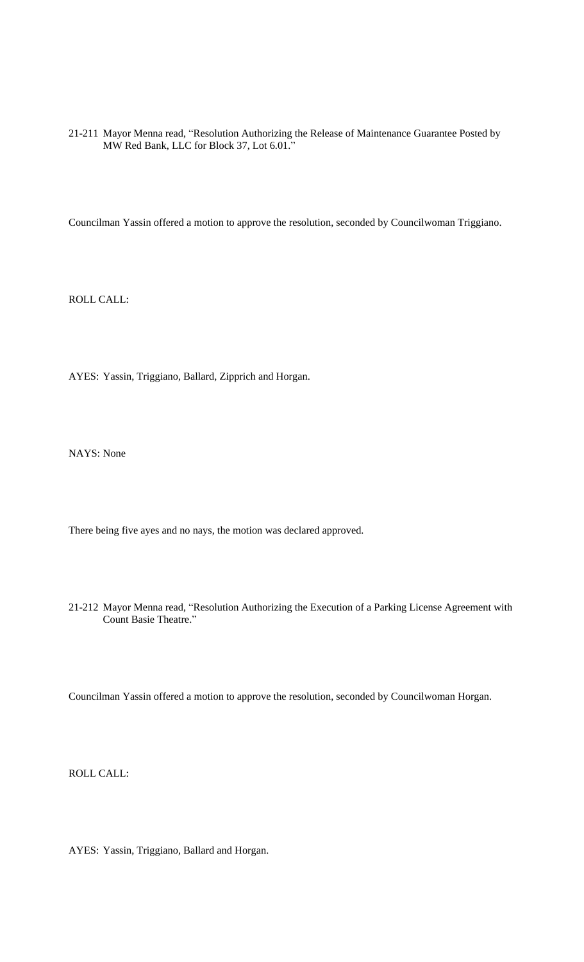21-211 Mayor Menna read, "Resolution Authorizing the Release of Maintenance Guarantee Posted by MW Red Bank, LLC for Block 37, Lot 6.01."

Councilman Yassin offered a motion to approve the resolution, seconded by Councilwoman Triggiano.

ROLL CALL:

AYES: Yassin, Triggiano, Ballard, Zipprich and Horgan.

NAYS: None

There being five ayes and no nays, the motion was declared approved.

21-212 Mayor Menna read, "Resolution Authorizing the Execution of a Parking License Agreement with Count Basie Theatre."

Councilman Yassin offered a motion to approve the resolution, seconded by Councilwoman Horgan.

ROLL CALL:

AYES: Yassin, Triggiano, Ballard and Horgan.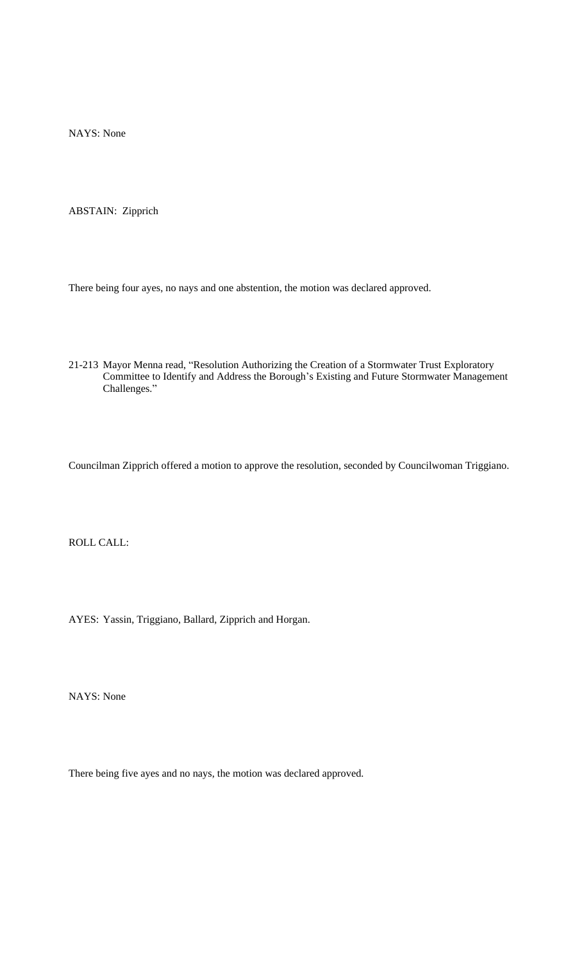NAYS: None

ABSTAIN: Zipprich

There being four ayes, no nays and one abstention, the motion was declared approved.

21-213 Mayor Menna read, "Resolution Authorizing the Creation of a Stormwater Trust Exploratory Committee to Identify and Address the Borough's Existing and Future Stormwater Management Challenges."

Councilman Zipprich offered a motion to approve the resolution, seconded by Councilwoman Triggiano.

ROLL CALL:

AYES: Yassin, Triggiano, Ballard, Zipprich and Horgan.

NAYS: None

There being five ayes and no nays, the motion was declared approved.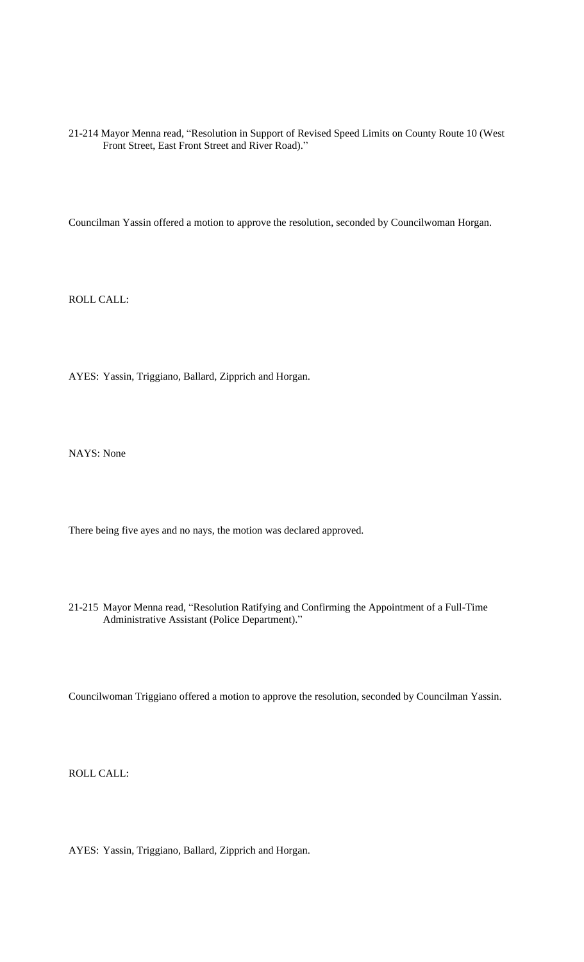21-214 Mayor Menna read, "Resolution in Support of Revised Speed Limits on County Route 10 (West Front Street, East Front Street and River Road)."

Councilman Yassin offered a motion to approve the resolution, seconded by Councilwoman Horgan.

ROLL CALL:

AYES: Yassin, Triggiano, Ballard, Zipprich and Horgan.

NAYS: None

There being five ayes and no nays, the motion was declared approved.

21-215 Mayor Menna read, "Resolution Ratifying and Confirming the Appointment of a Full-Time Administrative Assistant (Police Department)."

Councilwoman Triggiano offered a motion to approve the resolution, seconded by Councilman Yassin.

ROLL CALL:

AYES: Yassin, Triggiano, Ballard, Zipprich and Horgan.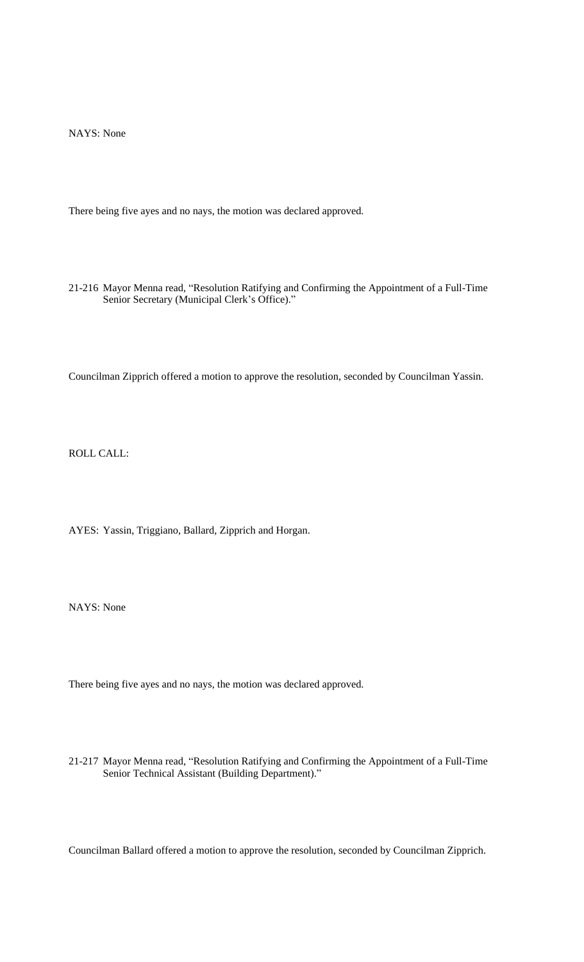NAYS: None

There being five ayes and no nays, the motion was declared approved.

21-216 Mayor Menna read, "Resolution Ratifying and Confirming the Appointment of a Full-Time Senior Secretary (Municipal Clerk's Office)."

Councilman Zipprich offered a motion to approve the resolution, seconded by Councilman Yassin.

ROLL CALL:

AYES: Yassin, Triggiano, Ballard, Zipprich and Horgan.

NAYS: None

There being five ayes and no nays, the motion was declared approved.

21-217 Mayor Menna read, "Resolution Ratifying and Confirming the Appointment of a Full-Time Senior Technical Assistant (Building Department)."

Councilman Ballard offered a motion to approve the resolution, seconded by Councilman Zipprich.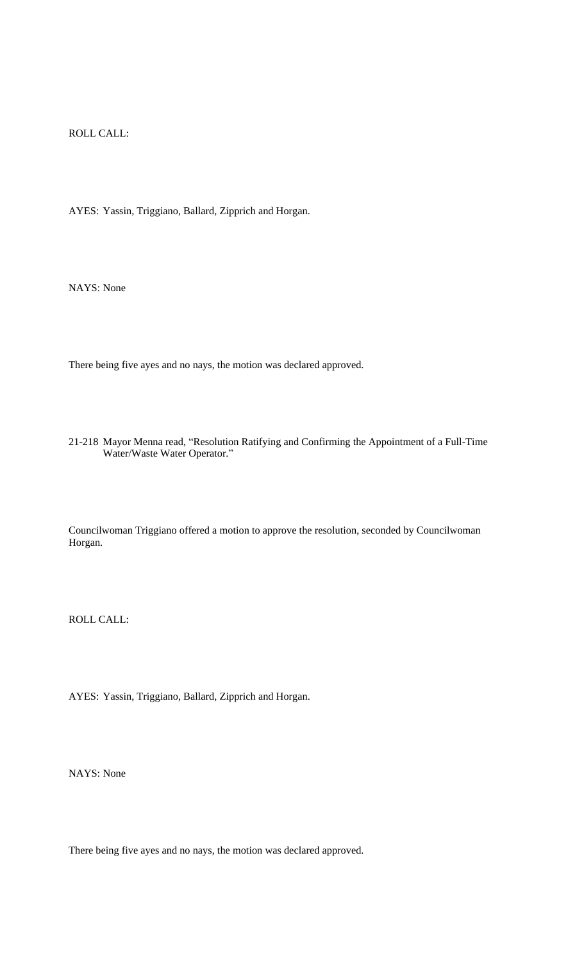ROLL CALL:

AYES: Yassin, Triggiano, Ballard, Zipprich and Horgan.

NAYS: None

There being five ayes and no nays, the motion was declared approved.

21-218 Mayor Menna read, "Resolution Ratifying and Confirming the Appointment of a Full-Time Water/Waste Water Operator."

Councilwoman Triggiano offered a motion to approve the resolution, seconded by Councilwoman Horgan.

ROLL CALL:

AYES: Yassin, Triggiano, Ballard, Zipprich and Horgan.

NAYS: None

There being five ayes and no nays, the motion was declared approved.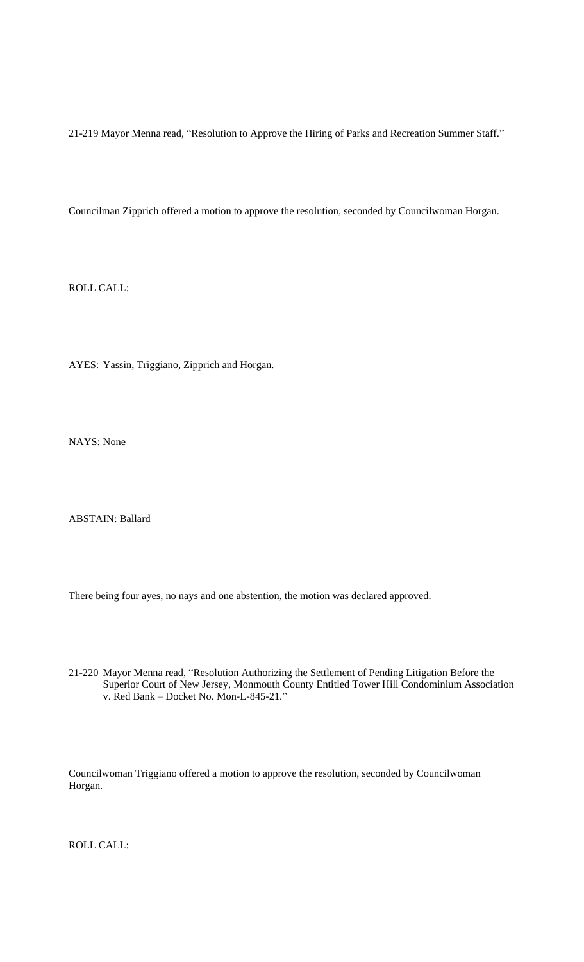21-219 Mayor Menna read, "Resolution to Approve the Hiring of Parks and Recreation Summer Staff."

Councilman Zipprich offered a motion to approve the resolution, seconded by Councilwoman Horgan.

ROLL CALL:

AYES: Yassin, Triggiano, Zipprich and Horgan.

NAYS: None

ABSTAIN: Ballard

There being four ayes, no nays and one abstention, the motion was declared approved.

21-220 Mayor Menna read, "Resolution Authorizing the Settlement of Pending Litigation Before the Superior Court of New Jersey, Monmouth County Entitled Tower Hill Condominium Association v. Red Bank – Docket No. Mon-L-845-21."

Councilwoman Triggiano offered a motion to approve the resolution, seconded by Councilwoman Horgan.

ROLL CALL: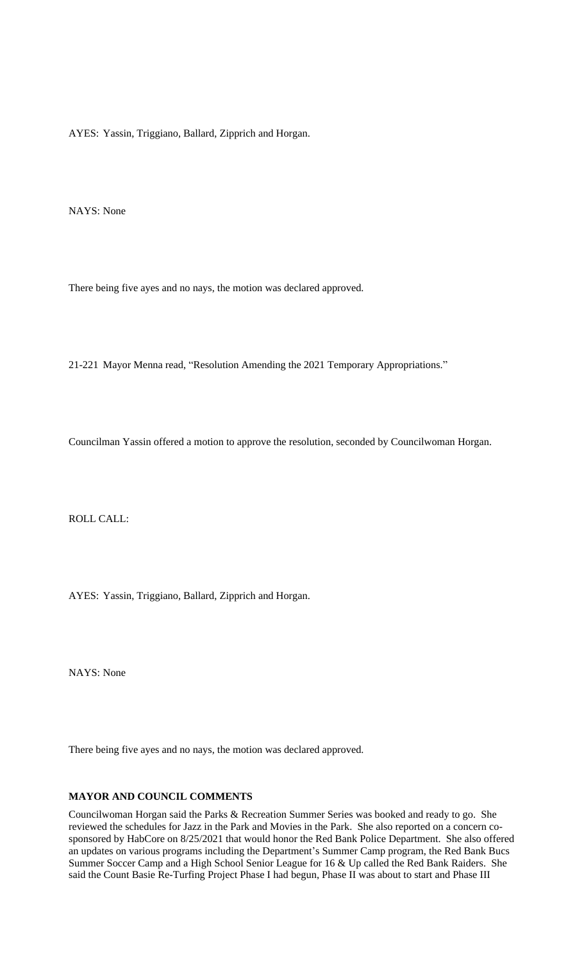AYES: Yassin, Triggiano, Ballard, Zipprich and Horgan.

NAYS: None

There being five ayes and no nays, the motion was declared approved.

21-221 Mayor Menna read, "Resolution Amending the 2021 Temporary Appropriations."

Councilman Yassin offered a motion to approve the resolution, seconded by Councilwoman Horgan.

ROLL CALL:

AYES: Yassin, Triggiano, Ballard, Zipprich and Horgan.

NAYS: None

There being five ayes and no nays, the motion was declared approved.

## **MAYOR AND COUNCIL COMMENTS**

Councilwoman Horgan said the Parks & Recreation Summer Series was booked and ready to go. She reviewed the schedules for Jazz in the Park and Movies in the Park. She also reported on a concern cosponsored by HabCore on 8/25/2021 that would honor the Red Bank Police Department. She also offered an updates on various programs including the Department's Summer Camp program, the Red Bank Bucs Summer Soccer Camp and a High School Senior League for 16 & Up called the Red Bank Raiders. She said the Count Basie Re-Turfing Project Phase I had begun, Phase II was about to start and Phase III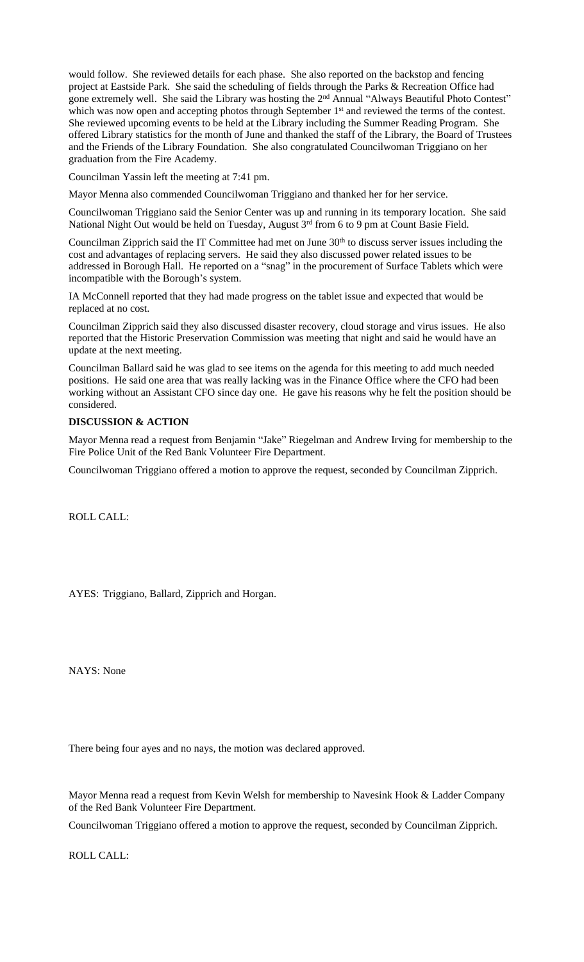would follow. She reviewed details for each phase. She also reported on the backstop and fencing project at Eastside Park. She said the scheduling of fields through the Parks & Recreation Office had gone extremely well. She said the Library was hosting the 2<sup>nd</sup> Annual "Always Beautiful Photo Contest" which was now open and accepting photos through September 1<sup>st</sup> and reviewed the terms of the contest. She reviewed upcoming events to be held at the Library including the Summer Reading Program. She offered Library statistics for the month of June and thanked the staff of the Library, the Board of Trustees and the Friends of the Library Foundation. She also congratulated Councilwoman Triggiano on her graduation from the Fire Academy.

Councilman Yassin left the meeting at 7:41 pm.

Mayor Menna also commended Councilwoman Triggiano and thanked her for her service.

Councilwoman Triggiano said the Senior Center was up and running in its temporary location. She said National Night Out would be held on Tuesday, August 3rd from 6 to 9 pm at Count Basie Field.

Councilman Zipprich said the IT Committee had met on June 30<sup>th</sup> to discuss server issues including the cost and advantages of replacing servers. He said they also discussed power related issues to be addressed in Borough Hall. He reported on a "snag" in the procurement of Surface Tablets which were incompatible with the Borough's system.

IA McConnell reported that they had made progress on the tablet issue and expected that would be replaced at no cost.

Councilman Zipprich said they also discussed disaster recovery, cloud storage and virus issues. He also reported that the Historic Preservation Commission was meeting that night and said he would have an update at the next meeting.

Councilman Ballard said he was glad to see items on the agenda for this meeting to add much needed positions. He said one area that was really lacking was in the Finance Office where the CFO had been working without an Assistant CFO since day one. He gave his reasons why he felt the position should be considered.

### **DISCUSSION & ACTION**

Mayor Menna read a request from Benjamin "Jake" Riegelman and Andrew Irving for membership to the Fire Police Unit of the Red Bank Volunteer Fire Department.

Councilwoman Triggiano offered a motion to approve the request, seconded by Councilman Zipprich.

ROLL CALL:

AYES: Triggiano, Ballard, Zipprich and Horgan.

NAYS: None

There being four ayes and no nays, the motion was declared approved.

Mayor Menna read a request from Kevin Welsh for membership to Navesink Hook & Ladder Company of the Red Bank Volunteer Fire Department.

Councilwoman Triggiano offered a motion to approve the request, seconded by Councilman Zipprich.

ROLL CALL: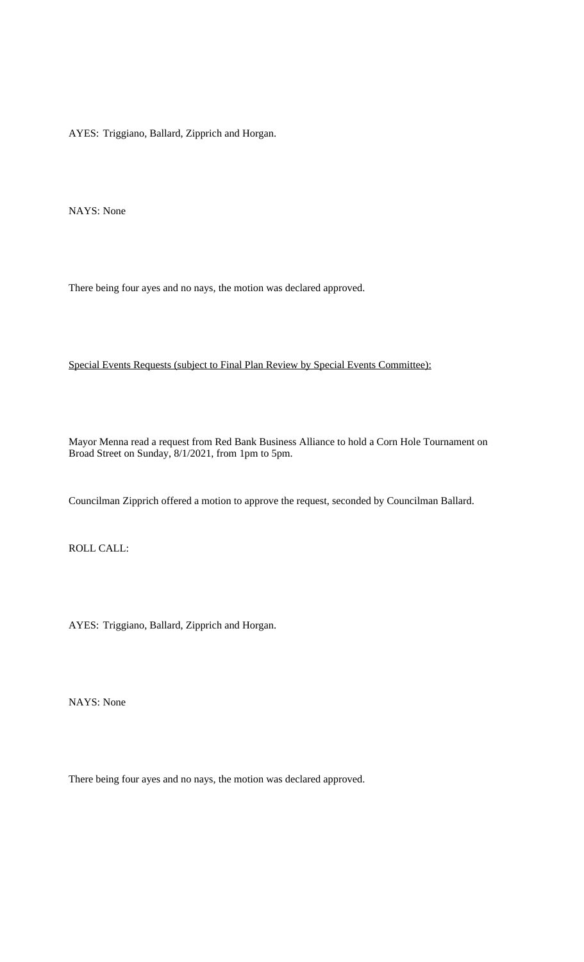AYES: Triggiano, Ballard, Zipprich and Horgan.

NAYS: None

There being four ayes and no nays, the motion was declared approved.

Special Events Requests (subject to Final Plan Review by Special Events Committee):

Mayor Menna read a request from Red Bank Business Alliance to hold a Corn Hole Tournament on Broad Street on Sunday, 8/1/2021, from 1pm to 5pm.

Councilman Zipprich offered a motion to approve the request, seconded by Councilman Ballard.

ROLL CALL:

AYES: Triggiano, Ballard, Zipprich and Horgan.

NAYS: None

There being four ayes and no nays, the motion was declared approved.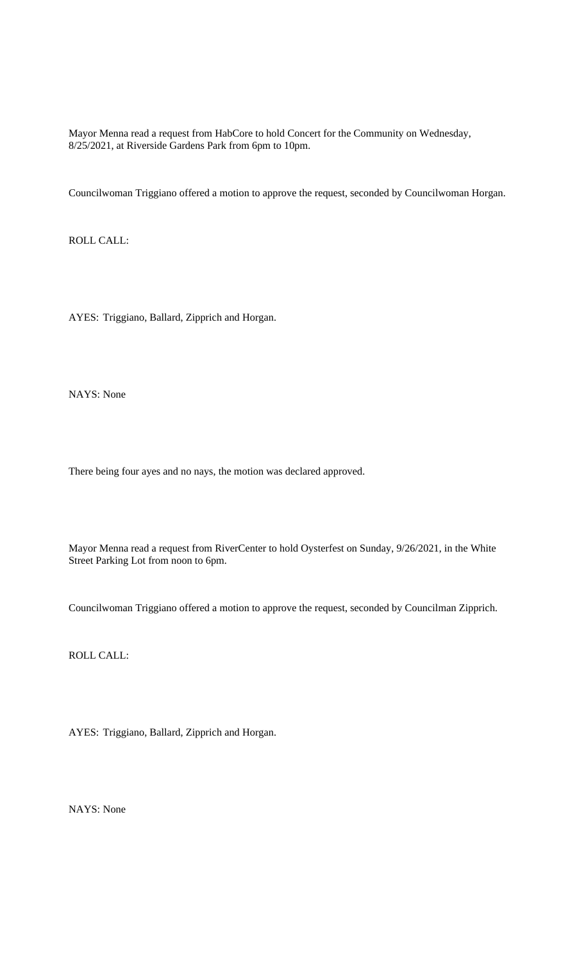Mayor Menna read a request from HabCore to hold Concert for the Community on Wednesday, 8/25/2021, at Riverside Gardens Park from 6pm to 10pm.

Councilwoman Triggiano offered a motion to approve the request, seconded by Councilwoman Horgan.

ROLL CALL:

AYES: Triggiano, Ballard, Zipprich and Horgan.

NAYS: None

There being four ayes and no nays, the motion was declared approved.

Mayor Menna read a request from RiverCenter to hold Oysterfest on Sunday, 9/26/2021, in the White Street Parking Lot from noon to 6pm.

Councilwoman Triggiano offered a motion to approve the request, seconded by Councilman Zipprich.

ROLL CALL:

AYES: Triggiano, Ballard, Zipprich and Horgan.

NAYS: None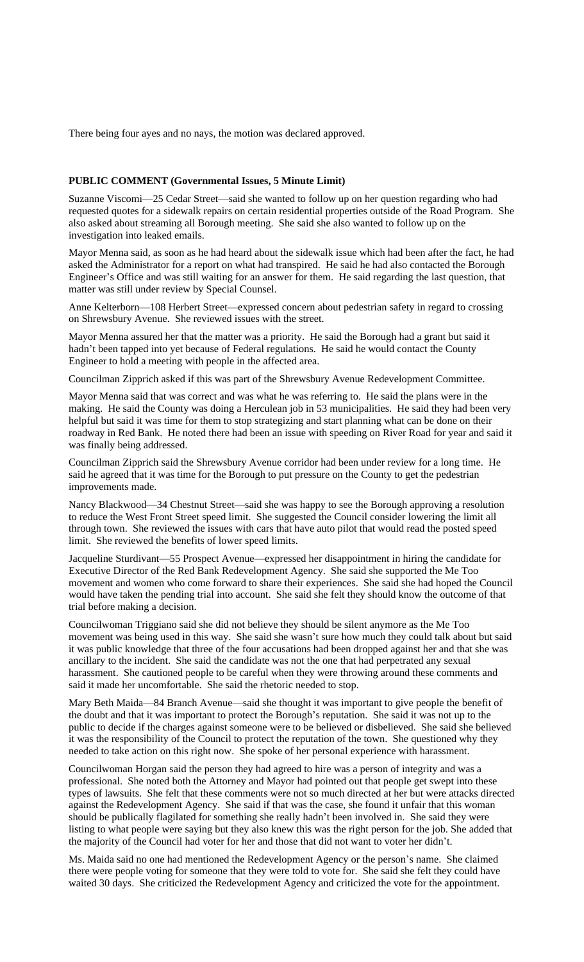There being four ayes and no nays, the motion was declared approved.

#### **PUBLIC COMMENT (Governmental Issues, 5 Minute Limit)**

Suzanne Viscomi—25 Cedar Street—said she wanted to follow up on her question regarding who had requested quotes for a sidewalk repairs on certain residential properties outside of the Road Program. She also asked about streaming all Borough meeting. She said she also wanted to follow up on the investigation into leaked emails.

Mayor Menna said, as soon as he had heard about the sidewalk issue which had been after the fact, he had asked the Administrator for a report on what had transpired. He said he had also contacted the Borough Engineer's Office and was still waiting for an answer for them. He said regarding the last question, that matter was still under review by Special Counsel.

Anne Kelterborn—108 Herbert Street—expressed concern about pedestrian safety in regard to crossing on Shrewsbury Avenue. She reviewed issues with the street.

Mayor Menna assured her that the matter was a priority. He said the Borough had a grant but said it hadn't been tapped into yet because of Federal regulations. He said he would contact the County Engineer to hold a meeting with people in the affected area.

Councilman Zipprich asked if this was part of the Shrewsbury Avenue Redevelopment Committee.

Mayor Menna said that was correct and was what he was referring to. He said the plans were in the making. He said the County was doing a Herculean job in 53 municipalities. He said they had been very helpful but said it was time for them to stop strategizing and start planning what can be done on their roadway in Red Bank. He noted there had been an issue with speeding on River Road for year and said it was finally being addressed.

Councilman Zipprich said the Shrewsbury Avenue corridor had been under review for a long time. He said he agreed that it was time for the Borough to put pressure on the County to get the pedestrian improvements made.

Nancy Blackwood—34 Chestnut Street—said she was happy to see the Borough approving a resolution to reduce the West Front Street speed limit. She suggested the Council consider lowering the limit all through town. She reviewed the issues with cars that have auto pilot that would read the posted speed limit. She reviewed the benefits of lower speed limits.

Jacqueline Sturdivant—55 Prospect Avenue—expressed her disappointment in hiring the candidate for Executive Director of the Red Bank Redevelopment Agency. She said she supported the Me Too movement and women who come forward to share their experiences. She said she had hoped the Council would have taken the pending trial into account. She said she felt they should know the outcome of that trial before making a decision.

Councilwoman Triggiano said she did not believe they should be silent anymore as the Me Too movement was being used in this way. She said she wasn't sure how much they could talk about but said it was public knowledge that three of the four accusations had been dropped against her and that she was ancillary to the incident. She said the candidate was not the one that had perpetrated any sexual harassment. She cautioned people to be careful when they were throwing around these comments and said it made her uncomfortable. She said the rhetoric needed to stop.

Mary Beth Maida—84 Branch Avenue—said she thought it was important to give people the benefit of the doubt and that it was important to protect the Borough's reputation. She said it was not up to the public to decide if the charges against someone were to be believed or disbelieved. She said she believed it was the responsibility of the Council to protect the reputation of the town. She questioned why they needed to take action on this right now. She spoke of her personal experience with harassment.

Councilwoman Horgan said the person they had agreed to hire was a person of integrity and was a professional. She noted both the Attorney and Mayor had pointed out that people get swept into these types of lawsuits. She felt that these comments were not so much directed at her but were attacks directed against the Redevelopment Agency. She said if that was the case, she found it unfair that this woman should be publically flagilated for something she really hadn't been involved in. She said they were listing to what people were saying but they also knew this was the right person for the job. She added that the majority of the Council had voter for her and those that did not want to voter her didn't.

Ms. Maida said no one had mentioned the Redevelopment Agency or the person's name. She claimed there were people voting for someone that they were told to vote for. She said she felt they could have waited 30 days. She criticized the Redevelopment Agency and criticized the vote for the appointment.